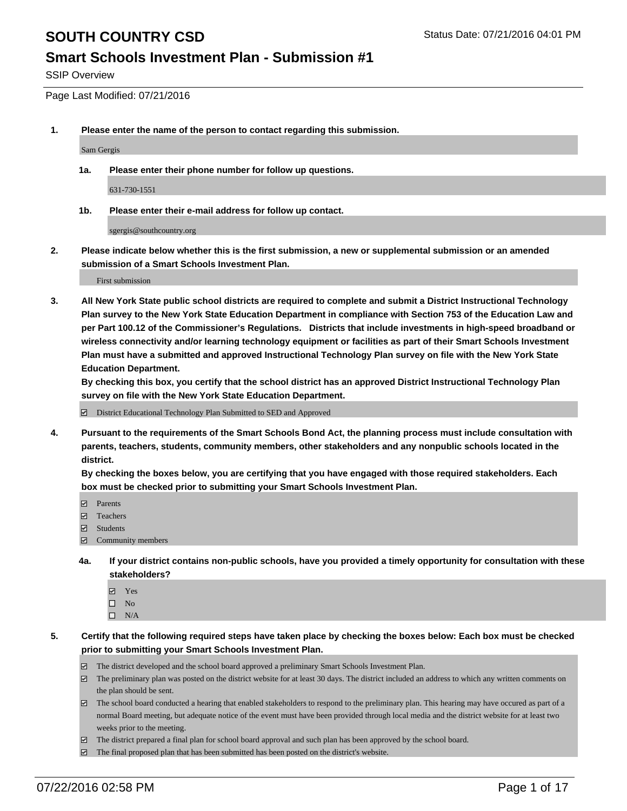#### **Smart Schools Investment Plan - Submission #1**

SSIP Overview

Page Last Modified: 07/21/2016

**1. Please enter the name of the person to contact regarding this submission.**

Sam Gergis

**1a. Please enter their phone number for follow up questions.**

631-730-1551

**1b. Please enter their e-mail address for follow up contact.**

sgergis@southcountry.org

**2. Please indicate below whether this is the first submission, a new or supplemental submission or an amended submission of a Smart Schools Investment Plan.**

First submission

**3. All New York State public school districts are required to complete and submit a District Instructional Technology Plan survey to the New York State Education Department in compliance with Section 753 of the Education Law and per Part 100.12 of the Commissioner's Regulations. Districts that include investments in high-speed broadband or wireless connectivity and/or learning technology equipment or facilities as part of their Smart Schools Investment Plan must have a submitted and approved Instructional Technology Plan survey on file with the New York State Education Department.** 

**By checking this box, you certify that the school district has an approved District Instructional Technology Plan survey on file with the New York State Education Department.**

District Educational Technology Plan Submitted to SED and Approved

**4. Pursuant to the requirements of the Smart Schools Bond Act, the planning process must include consultation with parents, teachers, students, community members, other stakeholders and any nonpublic schools located in the district.** 

**By checking the boxes below, you are certifying that you have engaged with those required stakeholders. Each box must be checked prior to submitting your Smart Schools Investment Plan.**

- **Parents**
- Teachers
- Students
- Community members
- **4a. If your district contains non-public schools, have you provided a timely opportunity for consultation with these stakeholders?**
	- Yes  $\square$  No
	- $\square$  N/A
- **5. Certify that the following required steps have taken place by checking the boxes below: Each box must be checked prior to submitting your Smart Schools Investment Plan.**
	- The district developed and the school board approved a preliminary Smart Schools Investment Plan.
	- $\Box$  The preliminary plan was posted on the district website for at least 30 days. The district included an address to which any written comments on the plan should be sent.
	- $\Box$  The school board conducted a hearing that enabled stakeholders to respond to the preliminary plan. This hearing may have occured as part of a normal Board meeting, but adequate notice of the event must have been provided through local media and the district website for at least two weeks prior to the meeting.
	- The district prepared a final plan for school board approval and such plan has been approved by the school board.
	- $\boxdot$  The final proposed plan that has been submitted has been posted on the district's website.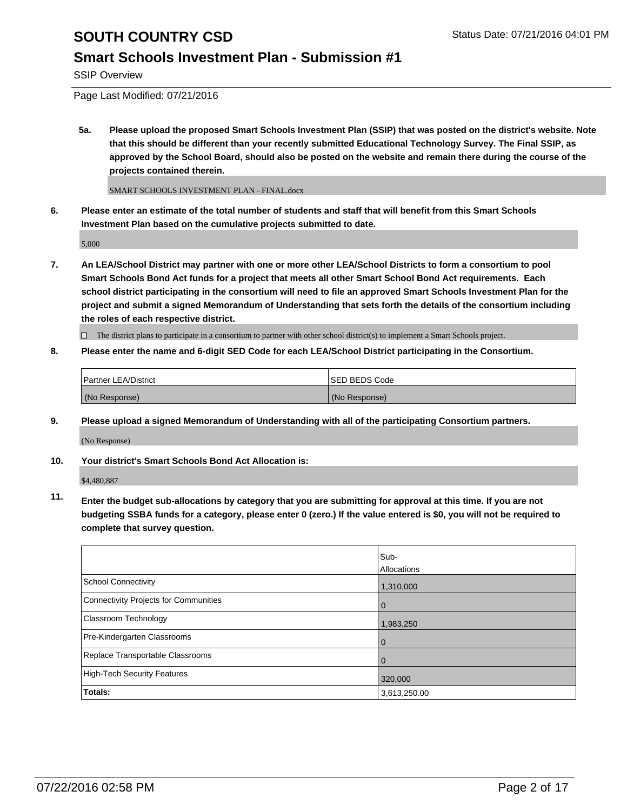### **Smart Schools Investment Plan - Submission #1**

SSIP Overview

Page Last Modified: 07/21/2016

**5a. Please upload the proposed Smart Schools Investment Plan (SSIP) that was posted on the district's website. Note that this should be different than your recently submitted Educational Technology Survey. The Final SSIP, as approved by the School Board, should also be posted on the website and remain there during the course of the projects contained therein.**

SMART SCHOOLS INVESTMENT PLAN - FINAL.docx

**6. Please enter an estimate of the total number of students and staff that will benefit from this Smart Schools Investment Plan based on the cumulative projects submitted to date.**

5,000

**7. An LEA/School District may partner with one or more other LEA/School Districts to form a consortium to pool Smart Schools Bond Act funds for a project that meets all other Smart School Bond Act requirements. Each school district participating in the consortium will need to file an approved Smart Schools Investment Plan for the project and submit a signed Memorandum of Understanding that sets forth the details of the consortium including the roles of each respective district.**

 $\Box$  The district plans to participate in a consortium to partner with other school district(s) to implement a Smart Schools project.

**8. Please enter the name and 6-digit SED Code for each LEA/School District participating in the Consortium.**

| <b>Partner LEA/District</b> | ISED BEDS Code |
|-----------------------------|----------------|
| (No Response)               | (No Response)  |

**9. Please upload a signed Memorandum of Understanding with all of the participating Consortium partners.**

(No Response)

**10. Your district's Smart Schools Bond Act Allocation is:**

\$4,480,887

**11. Enter the budget sub-allocations by category that you are submitting for approval at this time. If you are not budgeting SSBA funds for a category, please enter 0 (zero.) If the value entered is \$0, you will not be required to complete that survey question.**

|                                       | Sub-         |
|---------------------------------------|--------------|
|                                       | Allocations  |
| <b>School Connectivity</b>            | 1,310,000    |
| Connectivity Projects for Communities | O            |
| <b>Classroom Technology</b>           | 1,983,250    |
| Pre-Kindergarten Classrooms           | 0            |
| Replace Transportable Classrooms      | O            |
| High-Tech Security Features           | 320,000      |
| Totals:                               | 3,613,250.00 |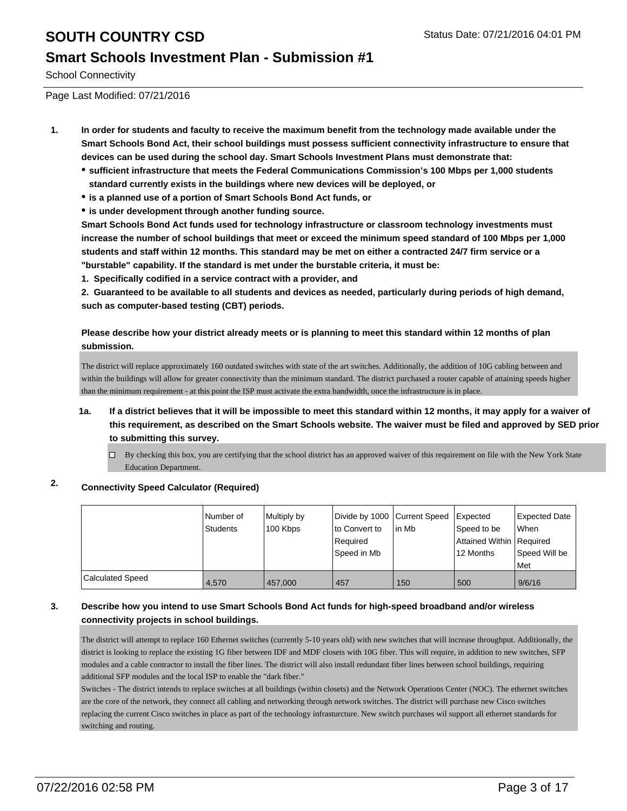### **Smart Schools Investment Plan - Submission #1**

School Connectivity

Page Last Modified: 07/21/2016

- **1. In order for students and faculty to receive the maximum benefit from the technology made available under the Smart Schools Bond Act, their school buildings must possess sufficient connectivity infrastructure to ensure that devices can be used during the school day. Smart Schools Investment Plans must demonstrate that:**
	- **sufficient infrastructure that meets the Federal Communications Commission's 100 Mbps per 1,000 students standard currently exists in the buildings where new devices will be deployed, or**
	- **is a planned use of a portion of Smart Schools Bond Act funds, or**
	- **is under development through another funding source.**

**Smart Schools Bond Act funds used for technology infrastructure or classroom technology investments must increase the number of school buildings that meet or exceed the minimum speed standard of 100 Mbps per 1,000 students and staff within 12 months. This standard may be met on either a contracted 24/7 firm service or a "burstable" capability. If the standard is met under the burstable criteria, it must be:**

**1. Specifically codified in a service contract with a provider, and**

**2. Guaranteed to be available to all students and devices as needed, particularly during periods of high demand, such as computer-based testing (CBT) periods.**

**Please describe how your district already meets or is planning to meet this standard within 12 months of plan submission.**

The district will replace approximately 160 outdated switches with state of the art switches. Additionally, the addition of 10G cabling between and within the buildings will allow for greater connectivity than the minimum standard. The district purchased a router capable of attaining speeds higher than the minimum requirement - at this point the ISP must activate the extra bandwidth, once the infrastructure is in place.

- **1a. If a district believes that it will be impossible to meet this standard within 12 months, it may apply for a waiver of this requirement, as described on the Smart Schools website. The waiver must be filed and approved by SED prior to submitting this survey.**
	- $\Box$  By checking this box, you are certifying that the school district has an approved waiver of this requirement on file with the New York State Education Department.

### **2. Connectivity Speed Calculator (Required)**

|                  | l Number of<br>Students | Multiply by<br>100 Kbps | Divide by 1000 Current Speed<br>lto Convert to<br>Reauired<br>Speed in Mb | lin Mb | Expected<br>Speed to be<br>Attained Within   Required<br>12 Months | <b>Expected Date</b><br>lWhen<br>Speed Will be<br><b>Met</b> |
|------------------|-------------------------|-------------------------|---------------------------------------------------------------------------|--------|--------------------------------------------------------------------|--------------------------------------------------------------|
| Calculated Speed | 4.570                   | 457.000                 | 457                                                                       | 150    | 500                                                                | 9/6/16                                                       |

#### **3. Describe how you intend to use Smart Schools Bond Act funds for high-speed broadband and/or wireless connectivity projects in school buildings.**

The district will attempt to replace 160 Ethernet switches (currently 5-10 years old) with new switches that will increase throughput. Additionally, the district is looking to replace the existing 1G fiber between IDF and MDF closets with 10G fiber. This will require, in addition to new switches, SFP modules and a cable contractor to install the fiber lines. The district will also install redundant fiber lines between school buildings, requiring additional SFP modules and the local ISP to enable the "dark fiber."

Switches - The district intends to replace switches at all buildings (within closets) and the Network Operations Center (NOC). The ethernet switches are the core of the network, they connect all cabling and networking through network switches. The district will purchase new Cisco switches replacing the current Cisco switches in place as part of the technology infrasturcture. New switch purchases wil support all ethernet standards for switching and routing.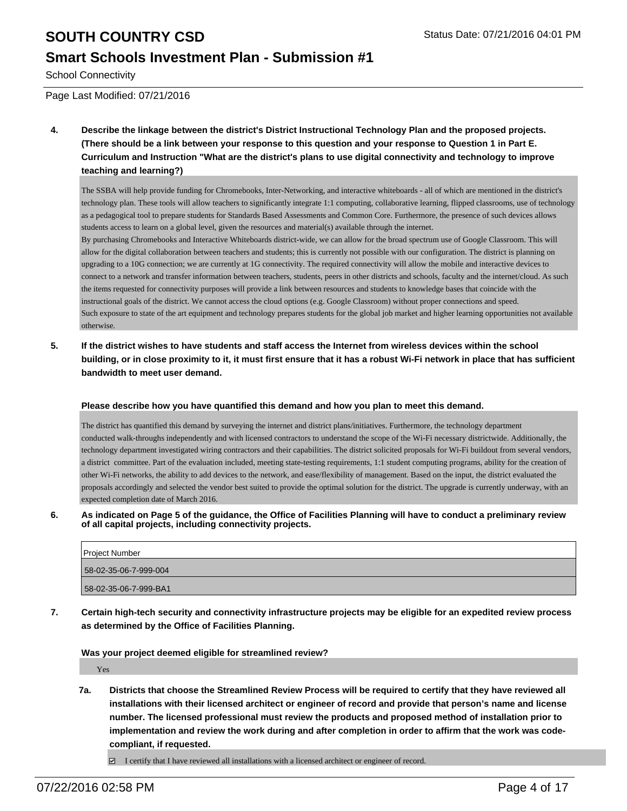### **Smart Schools Investment Plan - Submission #1**

School Connectivity

Page Last Modified: 07/21/2016

**4. Describe the linkage between the district's District Instructional Technology Plan and the proposed projects. (There should be a link between your response to this question and your response to Question 1 in Part E. Curriculum and Instruction "What are the district's plans to use digital connectivity and technology to improve teaching and learning?)**

The SSBA will help provide funding for Chromebooks, Inter-Networking, and interactive whiteboards - all of which are mentioned in the district's technology plan. These tools will allow teachers to significantly integrate 1:1 computing, collaborative learning, flipped classrooms, use of technology as a pedagogical tool to prepare students for Standards Based Assessments and Common Core. Furthermore, the presence of such devices allows students access to learn on a global level, given the resources and material(s) available through the internet.

By purchasing Chromebooks and Interactive Whiteboards district-wide, we can allow for the broad spectrum use of Google Classroom. This will allow for the digital collaboration between teachers and students; this is currently not possible with our configuration. The district is planning on upgrading to a 10G connection; we are currently at 1G connectivity. The required connectivity will allow the mobile and interactive devices to connect to a network and transfer information between teachers, students, peers in other districts and schools, faculty and the internet/cloud. As such the items requested for connectivity purposes will provide a link between resources and students to knowledge bases that coincide with the instructional goals of the district. We cannot access the cloud options (e.g. Google Classroom) without proper connections and speed. Such exposure to state of the art equipment and technology prepares students for the global job market and higher learning opportunities not available otherwise.

**5. If the district wishes to have students and staff access the Internet from wireless devices within the school building, or in close proximity to it, it must first ensure that it has a robust Wi-Fi network in place that has sufficient bandwidth to meet user demand.**

#### **Please describe how you have quantified this demand and how you plan to meet this demand.**

The district has quantified this demand by surveying the internet and district plans/initiatives. Furthermore, the technology department conducted walk-throughs independently and with licensed contractors to understand the scope of the Wi-Fi necessary districtwide. Additionally, the technology department investigated wiring contractors and their capabilities. The district solicited proposals for Wi-Fi buildout from several vendors, a district committee. Part of the evaluation included, meeting state-testing requirements, 1:1 student computing programs, ability for the creation of other Wi-Fi networks, the ability to add devices to the network, and ease/flexibility of management. Based on the input, the district evaluated the proposals accordingly and selected the vendor best suited to provide the optimal solution for the district. The upgrade is currently underway, with an expected completion date of March 2016.

**6. As indicated on Page 5 of the guidance, the Office of Facilities Planning will have to conduct a preliminary review of all capital projects, including connectivity projects.**

| Project Number        |
|-----------------------|
| 58-02-35-06-7-999-004 |
| 58-02-35-06-7-999-BA1 |

**7. Certain high-tech security and connectivity infrastructure projects may be eligible for an expedited review process as determined by the Office of Facilities Planning.**

#### **Was your project deemed eligible for streamlined review?**

Yes

**7a. Districts that choose the Streamlined Review Process will be required to certify that they have reviewed all installations with their licensed architect or engineer of record and provide that person's name and license number. The licensed professional must review the products and proposed method of installation prior to implementation and review the work during and after completion in order to affirm that the work was codecompliant, if requested.**

 $\Box$  I certify that I have reviewed all installations with a licensed architect or engineer of record.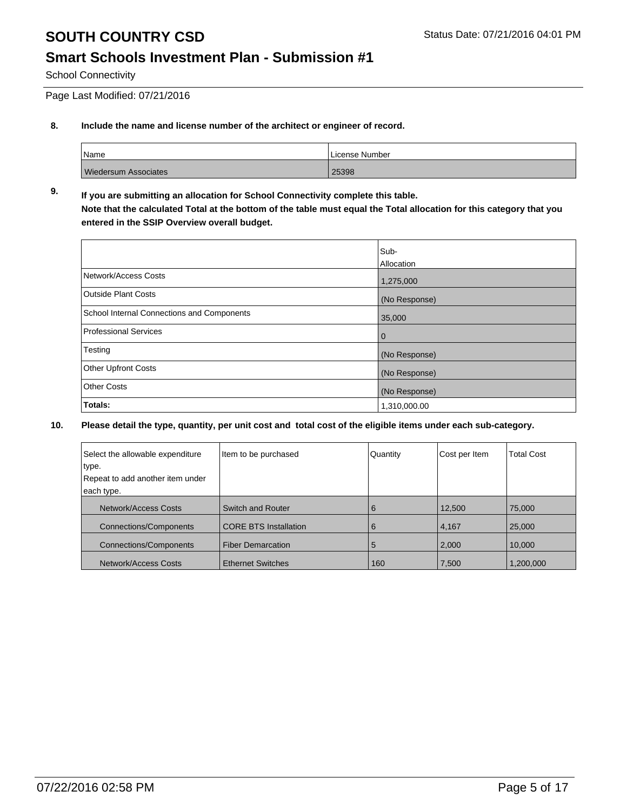### **Smart Schools Investment Plan - Submission #1**

School Connectivity

Page Last Modified: 07/21/2016

#### **8. Include the name and license number of the architect or engineer of record.**

| <i>Name</i>                 | License Number |  |  |
|-----------------------------|----------------|--|--|
| <b>Wiedersum Associates</b> | 25398          |  |  |

#### **9. If you are submitting an allocation for School Connectivity complete this table. Note that the calculated Total at the bottom of the table must equal the Total allocation for this category that you entered in the SSIP Overview overall budget.**

|                                            | Sub-<br>Allocation |
|--------------------------------------------|--------------------|
| Network/Access Costs                       | 1,275,000          |
| <b>Outside Plant Costs</b>                 | (No Response)      |
| School Internal Connections and Components | 35,000             |
| Professional Services                      | $\mathbf 0$        |
| Testing                                    | (No Response)      |
| <b>Other Upfront Costs</b>                 | (No Response)      |
| <b>Other Costs</b>                         | (No Response)      |
| Totals:                                    | 1,310,000.00       |

| Select the allowable expenditure | Item to be purchased         | Quantity | Cost per Item | <b>Total Cost</b> |
|----------------------------------|------------------------------|----------|---------------|-------------------|
| type.                            |                              |          |               |                   |
| Repeat to add another item under |                              |          |               |                   |
| each type.                       |                              |          |               |                   |
| Network/Access Costs             | Switch and Router            | 6        | 12,500        | 75,000            |
| <b>Connections/Components</b>    | <b>CORE BTS Installation</b> | 6        | 4,167         | 25,000            |
| <b>Connections/Components</b>    | <b>Fiber Demarcation</b>     | 5        | 2,000         | 10,000            |
| Network/Access Costs             | <b>Ethernet Switches</b>     | 160      | 7,500         | 1,200,000         |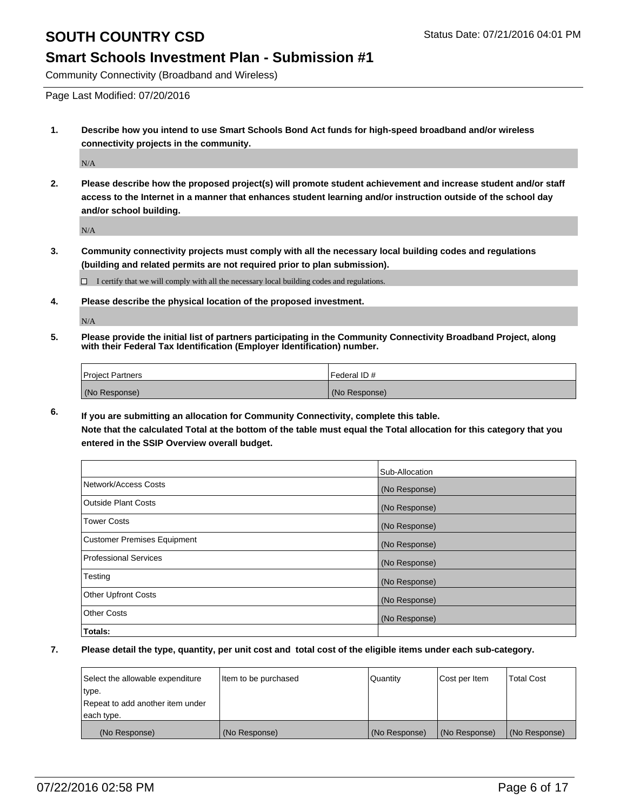#### **Smart Schools Investment Plan - Submission #1**

Community Connectivity (Broadband and Wireless)

Page Last Modified: 07/20/2016

**1. Describe how you intend to use Smart Schools Bond Act funds for high-speed broadband and/or wireless connectivity projects in the community.**

N/A

**2. Please describe how the proposed project(s) will promote student achievement and increase student and/or staff access to the Internet in a manner that enhances student learning and/or instruction outside of the school day and/or school building.**

N/A

**3. Community connectivity projects must comply with all the necessary local building codes and regulations (building and related permits are not required prior to plan submission).**

 $\Box$  I certify that we will comply with all the necessary local building codes and regulations.

**4. Please describe the physical location of the proposed investment.**

N/A

**5. Please provide the initial list of partners participating in the Community Connectivity Broadband Project, along with their Federal Tax Identification (Employer Identification) number.**

| Project Partners | l Federal ID # |
|------------------|----------------|
| (No Response)    | (No Response)  |

**6. If you are submitting an allocation for Community Connectivity, complete this table. Note that the calculated Total at the bottom of the table must equal the Total allocation for this category that you entered in the SSIP Overview overall budget.**

|                             | Sub-Allocation |
|-----------------------------|----------------|
| Network/Access Costs        | (No Response)  |
| Outside Plant Costs         | (No Response)  |
| <b>Tower Costs</b>          | (No Response)  |
| Customer Premises Equipment | (No Response)  |
| Professional Services       | (No Response)  |
| Testing                     | (No Response)  |
| <b>Other Upfront Costs</b>  | (No Response)  |
| Other Costs                 | (No Response)  |
| Totals:                     |                |

| Select the allowable expenditure | Item to be purchased | Quantity      | Cost per Item | <b>Total Cost</b> |
|----------------------------------|----------------------|---------------|---------------|-------------------|
| type.                            |                      |               |               |                   |
| Repeat to add another item under |                      |               |               |                   |
| each type.                       |                      |               |               |                   |
| (No Response)                    | (No Response)        | (No Response) | (No Response) | (No Response)     |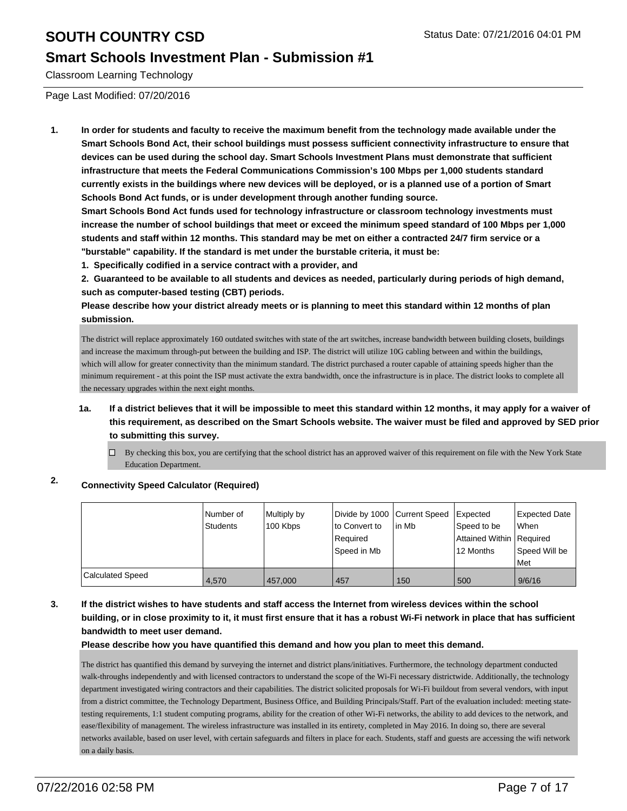### **Smart Schools Investment Plan - Submission #1**

Classroom Learning Technology

Page Last Modified: 07/20/2016

**1. In order for students and faculty to receive the maximum benefit from the technology made available under the Smart Schools Bond Act, their school buildings must possess sufficient connectivity infrastructure to ensure that devices can be used during the school day. Smart Schools Investment Plans must demonstrate that sufficient infrastructure that meets the Federal Communications Commission's 100 Mbps per 1,000 students standard currently exists in the buildings where new devices will be deployed, or is a planned use of a portion of Smart Schools Bond Act funds, or is under development through another funding source.**

**Smart Schools Bond Act funds used for technology infrastructure or classroom technology investments must increase the number of school buildings that meet or exceed the minimum speed standard of 100 Mbps per 1,000 students and staff within 12 months. This standard may be met on either a contracted 24/7 firm service or a "burstable" capability. If the standard is met under the burstable criteria, it must be:**

**1. Specifically codified in a service contract with a provider, and**

**2. Guaranteed to be available to all students and devices as needed, particularly during periods of high demand, such as computer-based testing (CBT) periods.**

**Please describe how your district already meets or is planning to meet this standard within 12 months of plan submission.**

The district will replace approximately 160 outdated switches with state of the art switches, increase bandwidth between building closets, buildings and increase the maximum through-put between the building and ISP. The district will utilize 10G cabling between and within the buildings, which will allow for greater connectivity than the minimum standard. The district purchased a router capable of attaining speeds higher than the minimum requirement - at this point the ISP must activate the extra bandwidth, once the infrastructure is in place. The district looks to complete all the necessary upgrades within the next eight months.

- **1a. If a district believes that it will be impossible to meet this standard within 12 months, it may apply for a waiver of this requirement, as described on the Smart Schools website. The waiver must be filed and approved by SED prior to submitting this survey.**
	- $\Box$  By checking this box, you are certifying that the school district has an approved waiver of this requirement on file with the New York State Education Department.

### **2. Connectivity Speed Calculator (Required)**

|                  | Number of<br>Students | Multiply by<br>100 Kbps | Divide by 1000 Current Speed<br>to Convert to<br>Reauired<br>Speed in Mb | lin Mb | Expected<br>Speed to be<br>Attained Within Required<br>12 Months | Expected Date<br><b>When</b><br>Speed Will be<br><b>Met</b> |
|------------------|-----------------------|-------------------------|--------------------------------------------------------------------------|--------|------------------------------------------------------------------|-------------------------------------------------------------|
| Calculated Speed | 4.570                 | 457.000                 | 457                                                                      | 150    | 500                                                              | 9/6/16                                                      |

#### **3. If the district wishes to have students and staff access the Internet from wireless devices within the school building, or in close proximity to it, it must first ensure that it has a robust Wi-Fi network in place that has sufficient bandwidth to meet user demand.**

**Please describe how you have quantified this demand and how you plan to meet this demand.**

The district has quantified this demand by surveying the internet and district plans/initiatives. Furthermore, the technology department conducted walk-throughs independently and with licensed contractors to understand the scope of the Wi-Fi necessary districtwide. Additionally, the technology department investigated wiring contractors and their capabilities. The district solicited proposals for Wi-Fi buildout from several vendors, with input from a district committee, the Technology Department, Business Office, and Building Principals/Staff. Part of the evaluation included: meeting statetesting requirements, 1:1 student computing programs, ability for the creation of other Wi-Fi networks, the ability to add devices to the network, and ease/flexibility of management. The wireless infrastructure was installed in its entirety, completed in May 2016. In doing so, there are several networks available, based on user level, with certain safeguards and filters in place for each. Students, staff and guests are accessing the wifi network on a daily basis.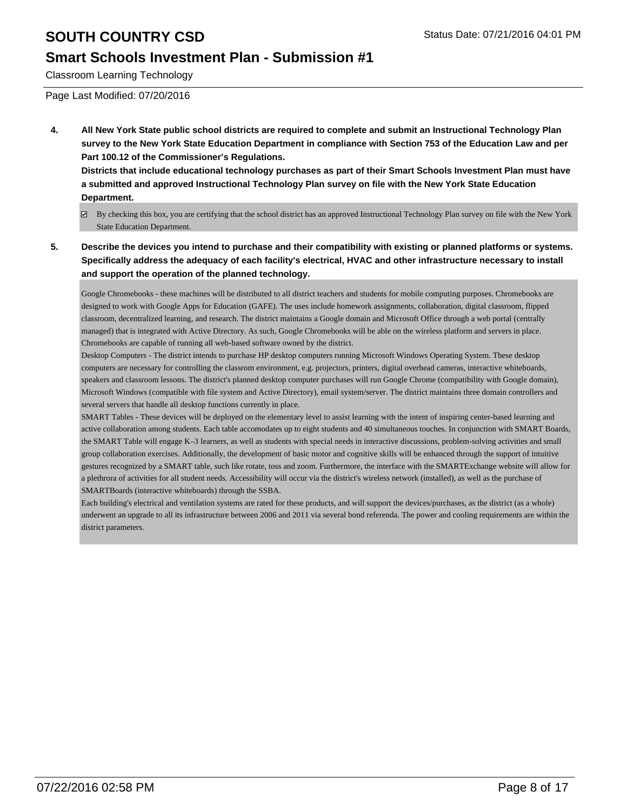### **Smart Schools Investment Plan - Submission #1**

Classroom Learning Technology

Page Last Modified: 07/20/2016

**4. All New York State public school districts are required to complete and submit an Instructional Technology Plan survey to the New York State Education Department in compliance with Section 753 of the Education Law and per Part 100.12 of the Commissioner's Regulations.**

**Districts that include educational technology purchases as part of their Smart Schools Investment Plan must have a submitted and approved Instructional Technology Plan survey on file with the New York State Education Department.**

- By checking this box, you are certifying that the school district has an approved Instructional Technology Plan survey on file with the New York State Education Department.
- **5. Describe the devices you intend to purchase and their compatibility with existing or planned platforms or systems. Specifically address the adequacy of each facility's electrical, HVAC and other infrastructure necessary to install and support the operation of the planned technology.**

Google Chromebooks - these machines will be distributed to all district teachers and students for mobile computing purposes. Chromebooks are designed to work with Google Apps for Education (GAFE). The uses include homework assignments, collaboration, digital classroom, flipped classroom, decentralized learning, and research. The district maintains a Google domain and Microsoft Office through a web portal (centrally managed) that is integrated with Active Directory. As such, Google Chromebooks will be able on the wireless platform and servers in place. Chromebooks are capable of running all web-based software owned by the district.

Desktop Computers - The district intends to purchase HP desktop computers running Microsoft Windows Operating System. These desktop computers are necessary for controlling the classrom environment, e.g. projectors, printers, digital overhead cameras, interactive whiteboards, speakers and classroom lessons. The district's planned desktop computer purchases will run Google Chrome (compatibility with Google domain), Microsoft Windows (compatible with file system and Active Directory), email system/server. The district maintains three domain controllers and several servers that handle all desktop functions currently in place.

SMART Tables - These devices will be deployed on the elementary level to assist learning with the intent of inspiring center-based learning and active collaboration among students. Each table accomodates up to eight students and 40 simultaneous touches. In conjunction with SMART Boards, the SMART Table will engage K–3 learners, as well as students with special needs in interactive discussions, problem-solving activities and small group collaboration exercises. Additionally, the development of basic motor and cognitive skills will be enhanced through the support of intuitive gestures recognized by a SMART table, such like rotate, toss and zoom. Furthermore, the interface with the SMARTExchange website will allow for a plethrora of activities for all student needs. Accessibility will occur via the district's wireless network (installed), as well as the purchase of SMARTBoards (interactive whiteboards) through the SSBA.

Each building's electrical and ventilation systems are rated for these products, and will support the devices/purchases, as the district (as a whole) underwent an upgrade to all its infrastructure between 2006 and 2011 via several bond referenda. The power and cooling requirements are within the district parameters.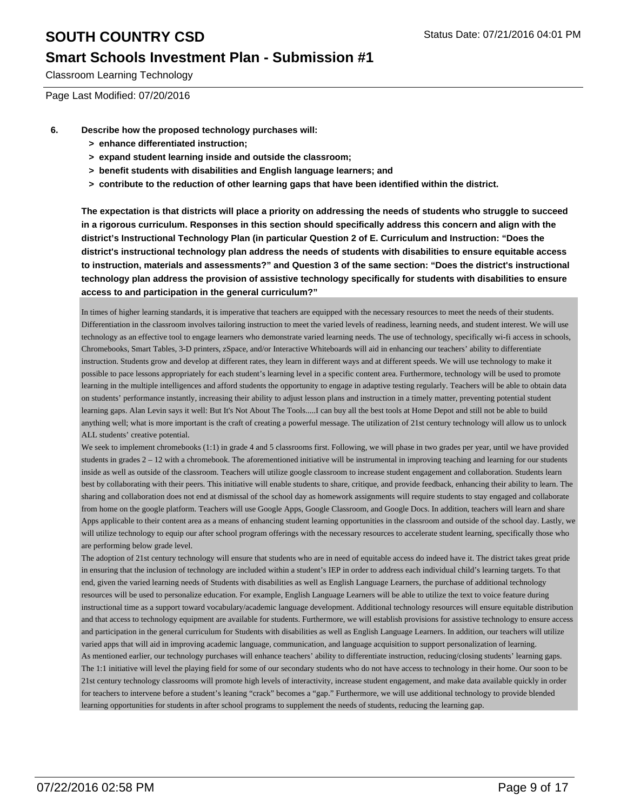#### **Smart Schools Investment Plan - Submission #1**

Classroom Learning Technology

Page Last Modified: 07/20/2016

- **6. Describe how the proposed technology purchases will:**
	- **> enhance differentiated instruction;**
	- **> expand student learning inside and outside the classroom;**
	- **> benefit students with disabilities and English language learners; and**
	- **> contribute to the reduction of other learning gaps that have been identified within the district.**

**The expectation is that districts will place a priority on addressing the needs of students who struggle to succeed in a rigorous curriculum. Responses in this section should specifically address this concern and align with the district's Instructional Technology Plan (in particular Question 2 of E. Curriculum and Instruction: "Does the district's instructional technology plan address the needs of students with disabilities to ensure equitable access to instruction, materials and assessments?" and Question 3 of the same section: "Does the district's instructional technology plan address the provision of assistive technology specifically for students with disabilities to ensure access to and participation in the general curriculum?"**

In times of higher learning standards, it is imperative that teachers are equipped with the necessary resources to meet the needs of their students. Differentiation in the classroom involves tailoring instruction to meet the varied levels of readiness, learning needs, and student interest. We will use technology as an effective tool to engage learners who demonstrate varied learning needs. The use of technology, specifically wi-fi access in schools, Chromebooks, Smart Tables, 3-D printers, zSpace, and/or Interactive Whiteboards will aid in enhancing our teachers' ability to differentiate instruction. Students grow and develop at different rates, they learn in different ways and at different speeds. We will use technology to make it possible to pace lessons appropriately for each student's learning level in a specific content area. Furthermore, technology will be used to promote learning in the multiple intelligences and afford students the opportunity to engage in adaptive testing regularly. Teachers will be able to obtain data on students' performance instantly, increasing their ability to adjust lesson plans and instruction in a timely matter, preventing potential student learning gaps. Alan Levin says it well: But It's Not About The Tools.....I can buy all the best tools at Home Depot and still not be able to build anything well; what is more important is the craft of creating a powerful message. The utilization of 21st century technology will allow us to unlock ALL students' creative potential.

We seek to implement chromebooks (1:1) in grade 4 and 5 classrooms first. Following, we will phase in two grades per year, until we have provided students in grades  $2 - 12$  with a chromebook. The aforementioned initiative will be instrumental in improving teaching and learning for our students inside as well as outside of the classroom. Teachers will utilize google classroom to increase student engagement and collaboration. Students learn best by collaborating with their peers. This initiative will enable students to share, critique, and provide feedback, enhancing their ability to learn. The sharing and collaboration does not end at dismissal of the school day as homework assignments will require students to stay engaged and collaborate from home on the google platform. Teachers will use Google Apps, Google Classroom, and Google Docs. In addition, teachers will learn and share Apps applicable to their content area as a means of enhancing student learning opportunities in the classroom and outside of the school day. Lastly, we will utilize technology to equip our after school program offerings with the necessary resources to accelerate student learning, specifically those who are performing below grade level.

The adoption of 21st century technology will ensure that students who are in need of equitable access do indeed have it. The district takes great pride in ensuring that the inclusion of technology are included within a student's IEP in order to address each individual child's learning targets. To that end, given the varied learning needs of Students with disabilities as well as English Language Learners, the purchase of additional technology resources will be used to personalize education. For example, English Language Learners will be able to utilize the text to voice feature during instructional time as a support toward vocabulary/academic language development. Additional technology resources will ensure equitable distribution and that access to technology equipment are available for students. Furthermore, we will establish provisions for assistive technology to ensure access and participation in the general curriculum for Students with disabilities as well as English Language Learners. In addition, our teachers will utilize varied apps that will aid in improving academic language, communication, and language acquisition to support personalization of learning. As mentioned earlier, our technology purchases will enhance teachers' ability to differentiate instruction, reducing/closing students' learning gaps. The 1:1 initiative will level the playing field for some of our secondary students who do not have access to technology in their home. Our soon to be 21st century technology classrooms will promote high levels of interactivity, increase student engagement, and make data available quickly in order for teachers to intervene before a student's leaning "crack" becomes a "gap." Furthermore, we will use additional technology to provide blended learning opportunities for students in after school programs to supplement the needs of students, reducing the learning gap.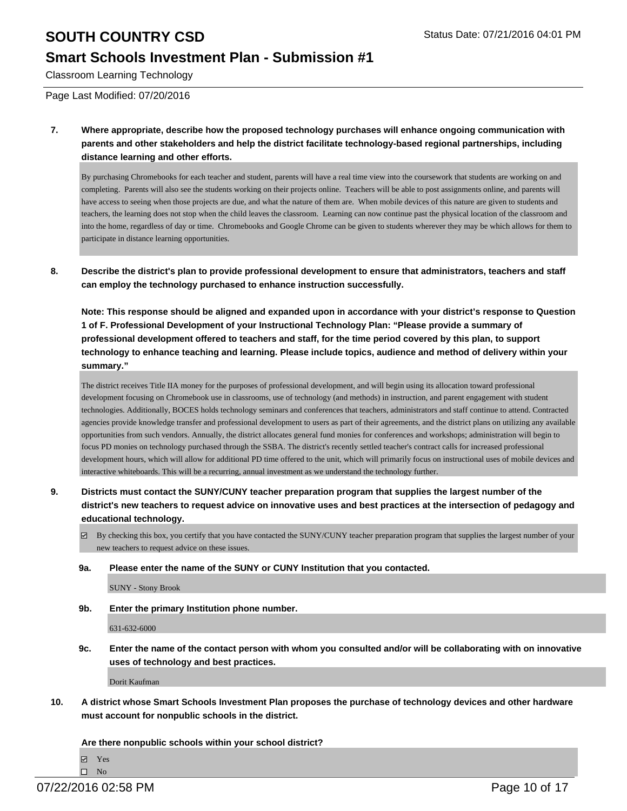### **Smart Schools Investment Plan - Submission #1**

Classroom Learning Technology

Page Last Modified: 07/20/2016

**7. Where appropriate, describe how the proposed technology purchases will enhance ongoing communication with parents and other stakeholders and help the district facilitate technology-based regional partnerships, including distance learning and other efforts.**

By purchasing Chromebooks for each teacher and student, parents will have a real time view into the coursework that students are working on and completing. Parents will also see the students working on their projects online. Teachers will be able to post assignments online, and parents will have access to seeing when those projects are due, and what the nature of them are. When mobile devices of this nature are given to students and teachers, the learning does not stop when the child leaves the classroom. Learning can now continue past the physical location of the classroom and into the home, regardless of day or time. Chromebooks and Google Chrome can be given to students wherever they may be which allows for them to participate in distance learning opportunities.

**8. Describe the district's plan to provide professional development to ensure that administrators, teachers and staff can employ the technology purchased to enhance instruction successfully.**

**Note: This response should be aligned and expanded upon in accordance with your district's response to Question 1 of F. Professional Development of your Instructional Technology Plan: "Please provide a summary of professional development offered to teachers and staff, for the time period covered by this plan, to support technology to enhance teaching and learning. Please include topics, audience and method of delivery within your summary."**

The district receives Title IIA money for the purposes of professional development, and will begin using its allocation toward professional development focusing on Chromebook use in classrooms, use of technology (and methods) in instruction, and parent engagement with student technologies. Additionally, BOCES holds technology seminars and conferences that teachers, administrators and staff continue to attend. Contracted agencies provide knowledge transfer and professional development to users as part of their agreements, and the district plans on utilizing any available opportunities from such vendors. Annually, the district allocates general fund monies for conferences and workshops; administration will begin to focus PD monies on technology purchased through the SSBA. The district's recently settled teacher's contract calls for increased professional development hours, which will allow for additional PD time offered to the unit, which will primarily focus on instructional uses of mobile devices and interactive whiteboards. This will be a recurring, annual investment as we understand the technology further.

- **9. Districts must contact the SUNY/CUNY teacher preparation program that supplies the largest number of the district's new teachers to request advice on innovative uses and best practices at the intersection of pedagogy and educational technology.**
	- $\boxtimes$  By checking this box, you certify that you have contacted the SUNY/CUNY teacher preparation program that supplies the largest number of your new teachers to request advice on these issues.
	- **9a. Please enter the name of the SUNY or CUNY Institution that you contacted.**

SUNY - Stony Brook

**9b. Enter the primary Institution phone number.**

631-632-6000

**9c. Enter the name of the contact person with whom you consulted and/or will be collaborating with on innovative uses of technology and best practices.**

Dorit Kaufman

**10. A district whose Smart Schools Investment Plan proposes the purchase of technology devices and other hardware must account for nonpublic schools in the district.**

**Are there nonpublic schools within your school district?**

**Ø** Yes

 $\square$  No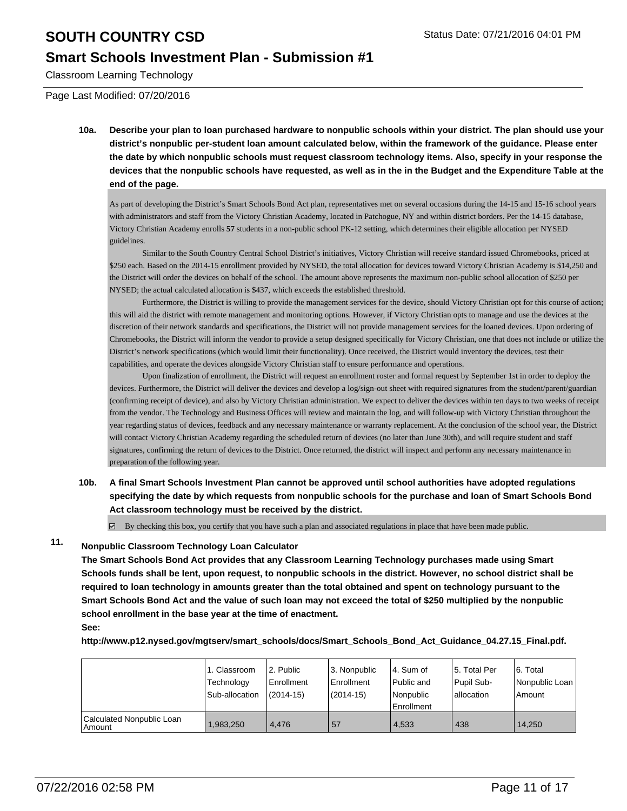#### **Smart Schools Investment Plan - Submission #1**

Classroom Learning Technology

Page Last Modified: 07/20/2016

**10a. Describe your plan to loan purchased hardware to nonpublic schools within your district. The plan should use your district's nonpublic per-student loan amount calculated below, within the framework of the guidance. Please enter the date by which nonpublic schools must request classroom technology items. Also, specify in your response the devices that the nonpublic schools have requested, as well as in the in the Budget and the Expenditure Table at the end of the page.**

As part of developing the District's Smart Schools Bond Act plan, representatives met on several occasions during the 14-15 and 15-16 school years with administrators and staff from the Victory Christian Academy, located in Patchogue, NY and within district borders. Per the 14-15 database, Victory Christian Academy enrolls **57** students in a non-public school PK-12 setting, which determines their eligible allocation per NYSED guidelines.

 Similar to the South Country Central School District's initiatives, Victory Christian will receive standard issued Chromebooks, priced at \$250 each. Based on the 2014-15 enrollment provided by NYSED, the total allocation for devices toward Victory Christian Academy is \$14,250 and the District will order the devices on behalf of the school. The amount above represents the maximum non-public school allocation of \$250 per NYSED; the actual calculated allocation is \$437, which exceeds the established threshold.

 Furthermore, the District is willing to provide the management services for the device, should Victory Christian opt for this course of action; this will aid the district with remote management and monitoring options. However, if Victory Christian opts to manage and use the devices at the discretion of their network standards and specifications, the District will not provide management services for the loaned devices. Upon ordering of Chromebooks, the District will inform the vendor to provide a setup designed specifically for Victory Christian, one that does not include or utilize the District's network specifications (which would limit their functionality). Once received, the District would inventory the devices, test their capabilities, and operate the devices alongside Victory Christian staff to ensure performance and operations.

 Upon finalization of enrollment, the District will request an enrollment roster and formal request by September 1st in order to deploy the devices. Furthermore, the District will deliver the devices and develop a log/sign-out sheet with required signatures from the student/parent/guardian (confirming receipt of device), and also by Victory Christian administration. We expect to deliver the devices within ten days to two weeks of receipt from the vendor. The Technology and Business Offices will review and maintain the log, and will follow-up with Victory Christian throughout the year regarding status of devices, feedback and any necessary maintenance or warranty replacement. At the conclusion of the school year, the District will contact Victory Christian Academy regarding the scheduled return of devices (no later than June 30th), and will require student and staff signatures, confirming the return of devices to the District. Once returned, the district will inspect and perform any necessary maintenance in preparation of the following year.

**10b. A final Smart Schools Investment Plan cannot be approved until school authorities have adopted regulations specifying the date by which requests from nonpublic schools for the purchase and loan of Smart Schools Bond Act classroom technology must be received by the district.**

 $\boxtimes$  By checking this box, you certify that you have such a plan and associated regulations in place that have been made public.

### **11. Nonpublic Classroom Technology Loan Calculator**

**The Smart Schools Bond Act provides that any Classroom Learning Technology purchases made using Smart Schools funds shall be lent, upon request, to nonpublic schools in the district. However, no school district shall be required to loan technology in amounts greater than the total obtained and spent on technology pursuant to the Smart Schools Bond Act and the value of such loan may not exceed the total of \$250 multiplied by the nonpublic school enrollment in the base year at the time of enactment. See:**

**http://www.p12.nysed.gov/mgtserv/smart\_schools/docs/Smart\_Schools\_Bond\_Act\_Guidance\_04.27.15\_Final.pdf.**

|                                       | 1. Classroom<br>Technology<br>Sub-allocation | l 2. Public<br>Enrollment<br>$(2014 - 15)$ | l 3. Nonpublic<br>Enrollment<br>$(2014 - 15)$ | l 4. Sum of<br>Public and<br>l Nonpublic<br>Enrollment | 15. Total Per<br>Pupil Sub-<br>lallocation | 6. Total<br>Nonpublic Loan<br>Amount |
|---------------------------------------|----------------------------------------------|--------------------------------------------|-----------------------------------------------|--------------------------------------------------------|--------------------------------------------|--------------------------------------|
| Calculated Nonpublic Loan<br>l Amount | .983.250                                     | 4.476                                      | 57                                            | 4.533                                                  | 438                                        | 14.250                               |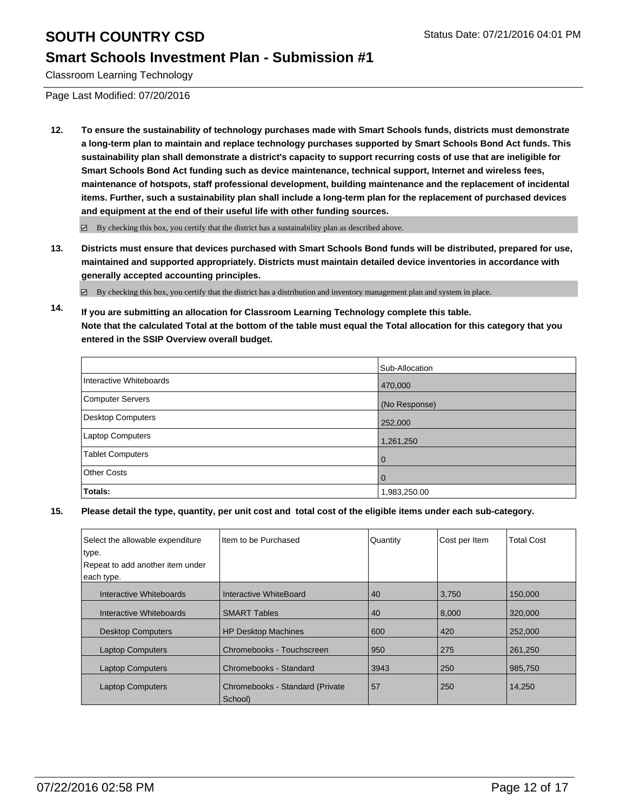### **Smart Schools Investment Plan - Submission #1**

Classroom Learning Technology

Page Last Modified: 07/20/2016

**12. To ensure the sustainability of technology purchases made with Smart Schools funds, districts must demonstrate a long-term plan to maintain and replace technology purchases supported by Smart Schools Bond Act funds. This sustainability plan shall demonstrate a district's capacity to support recurring costs of use that are ineligible for Smart Schools Bond Act funding such as device maintenance, technical support, Internet and wireless fees, maintenance of hotspots, staff professional development, building maintenance and the replacement of incidental items. Further, such a sustainability plan shall include a long-term plan for the replacement of purchased devices and equipment at the end of their useful life with other funding sources.**

 $\boxtimes$  By checking this box, you certify that the district has a sustainability plan as described above.

**13. Districts must ensure that devices purchased with Smart Schools Bond funds will be distributed, prepared for use, maintained and supported appropriately. Districts must maintain detailed device inventories in accordance with generally accepted accounting principles.**

 $\boxtimes$  By checking this box, you certify that the district has a distribution and inventory management plan and system in place.

**14. If you are submitting an allocation for Classroom Learning Technology complete this table. Note that the calculated Total at the bottom of the table must equal the Total allocation for this category that you entered in the SSIP Overview overall budget.**

|                          | Sub-Allocation |
|--------------------------|----------------|
| Interactive Whiteboards  | 470,000        |
| <b>Computer Servers</b>  | (No Response)  |
| <b>Desktop Computers</b> | 252,000        |
| Laptop Computers         | 1,261,250      |
| <b>Tablet Computers</b>  | l 0            |
| <b>Other Costs</b>       | l 0            |
| Totals:                  | 1,983,250.00   |

| Select the allowable expenditure<br>type. | Item to be Purchased                        | Quantity | Cost per Item | <b>Total Cost</b> |
|-------------------------------------------|---------------------------------------------|----------|---------------|-------------------|
| Repeat to add another item under          |                                             |          |               |                   |
| each type.                                |                                             |          |               |                   |
| Interactive Whiteboards                   | Interactive WhiteBoard                      | 40       | 3,750         | 150,000           |
| Interactive Whiteboards                   | <b>SMART Tables</b>                         | 40       | 8,000         | 320,000           |
| <b>Desktop Computers</b>                  | <b>HP Desktop Machines</b>                  | 600      | 420           | 252,000           |
| <b>Laptop Computers</b>                   | Chromebooks - Touchscreen                   | 950      | 275           | 261,250           |
| <b>Laptop Computers</b>                   | Chromebooks - Standard                      | 3943     | 250           | 985,750           |
| <b>Laptop Computers</b>                   | Chromebooks - Standard (Private)<br>School) | 57       | 250           | 14,250            |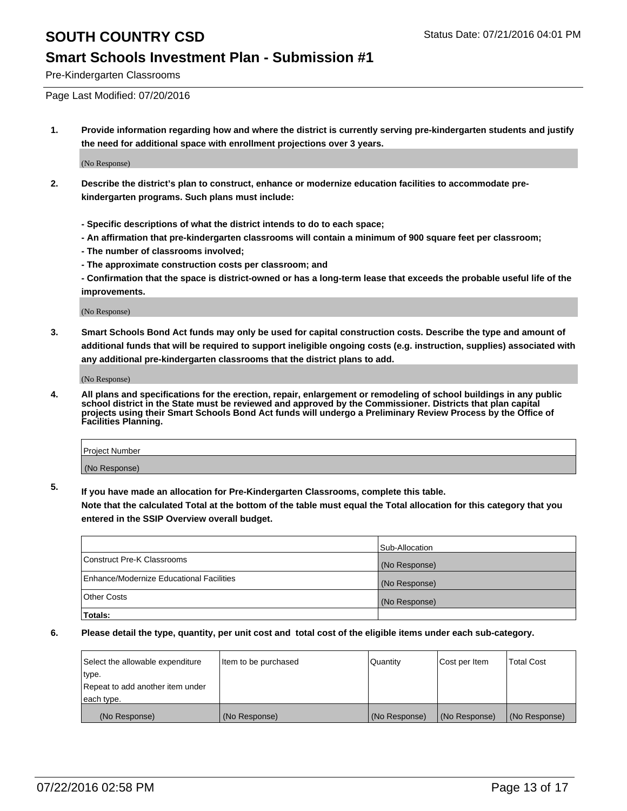### **Smart Schools Investment Plan - Submission #1**

Pre-Kindergarten Classrooms

Page Last Modified: 07/20/2016

**1. Provide information regarding how and where the district is currently serving pre-kindergarten students and justify the need for additional space with enrollment projections over 3 years.**

(No Response)

- **2. Describe the district's plan to construct, enhance or modernize education facilities to accommodate prekindergarten programs. Such plans must include:**
	- **Specific descriptions of what the district intends to do to each space;**
	- **An affirmation that pre-kindergarten classrooms will contain a minimum of 900 square feet per classroom;**
	- **The number of classrooms involved;**
	- **The approximate construction costs per classroom; and**
	- **Confirmation that the space is district-owned or has a long-term lease that exceeds the probable useful life of the improvements.**

(No Response)

**3. Smart Schools Bond Act funds may only be used for capital construction costs. Describe the type and amount of additional funds that will be required to support ineligible ongoing costs (e.g. instruction, supplies) associated with any additional pre-kindergarten classrooms that the district plans to add.**

(No Response)

**4. All plans and specifications for the erection, repair, enlargement or remodeling of school buildings in any public school district in the State must be reviewed and approved by the Commissioner. Districts that plan capital projects using their Smart Schools Bond Act funds will undergo a Preliminary Review Process by the Office of Facilities Planning.**

| <b>Project Number</b> |  |
|-----------------------|--|
| (No Response)         |  |

**5. If you have made an allocation for Pre-Kindergarten Classrooms, complete this table.**

**Note that the calculated Total at the bottom of the table must equal the Total allocation for this category that you entered in the SSIP Overview overall budget.**

|                                          | Sub-Allocation |
|------------------------------------------|----------------|
| Construct Pre-K Classrooms               | (No Response)  |
| Enhance/Modernize Educational Facilities | (No Response)  |
| <b>Other Costs</b>                       | (No Response)  |
| Totals:                                  |                |

| Select the allowable expenditure | litem to be purchased | Quantity      | Cost per Item | <b>Total Cost</b> |
|----------------------------------|-----------------------|---------------|---------------|-------------------|
| type.                            |                       |               |               |                   |
| Repeat to add another item under |                       |               |               |                   |
| each type.                       |                       |               |               |                   |
| (No Response)                    | (No Response)         | (No Response) | (No Response) | (No Response)     |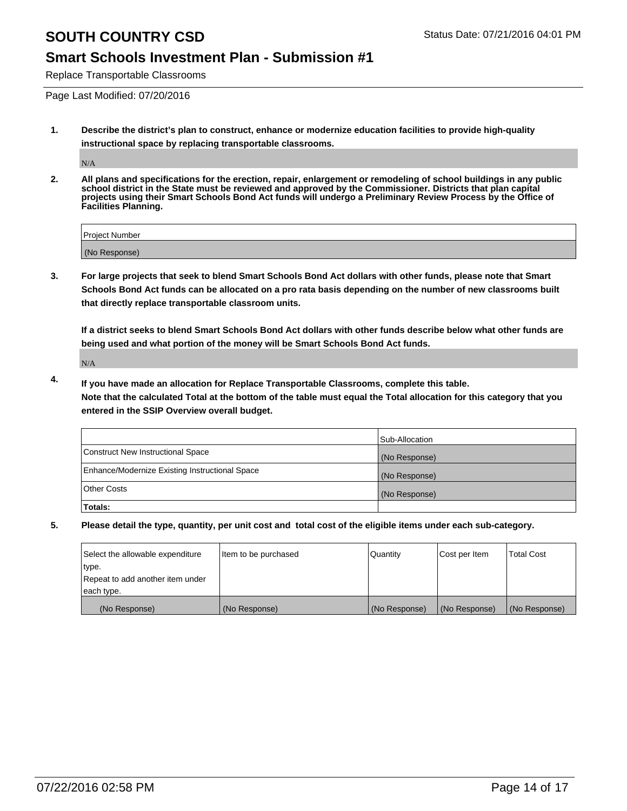### **Smart Schools Investment Plan - Submission #1**

Replace Transportable Classrooms

Page Last Modified: 07/20/2016

**1. Describe the district's plan to construct, enhance or modernize education facilities to provide high-quality instructional space by replacing transportable classrooms.**

N/A

**2. All plans and specifications for the erection, repair, enlargement or remodeling of school buildings in any public school district in the State must be reviewed and approved by the Commissioner. Districts that plan capital projects using their Smart Schools Bond Act funds will undergo a Preliminary Review Process by the Office of Facilities Planning.**

| <b>Project Number</b> |  |
|-----------------------|--|
| (No Response)         |  |

**3. For large projects that seek to blend Smart Schools Bond Act dollars with other funds, please note that Smart Schools Bond Act funds can be allocated on a pro rata basis depending on the number of new classrooms built that directly replace transportable classroom units.**

**If a district seeks to blend Smart Schools Bond Act dollars with other funds describe below what other funds are being used and what portion of the money will be Smart Schools Bond Act funds.**

N/A

**4. If you have made an allocation for Replace Transportable Classrooms, complete this table. Note that the calculated Total at the bottom of the table must equal the Total allocation for this category that you entered in the SSIP Overview overall budget.**

|                                                | Sub-Allocation |
|------------------------------------------------|----------------|
| Construct New Instructional Space              | (No Response)  |
| Enhance/Modernize Existing Instructional Space | (No Response)  |
| Other Costs                                    | (No Response)  |
| Totals:                                        |                |

| Select the allowable expenditure | Item to be purchased | Quantity      | Cost per Item | <b>Total Cost</b> |
|----------------------------------|----------------------|---------------|---------------|-------------------|
| type.                            |                      |               |               |                   |
| Repeat to add another item under |                      |               |               |                   |
| each type.                       |                      |               |               |                   |
| (No Response)                    | (No Response)        | (No Response) | (No Response) | (No Response)     |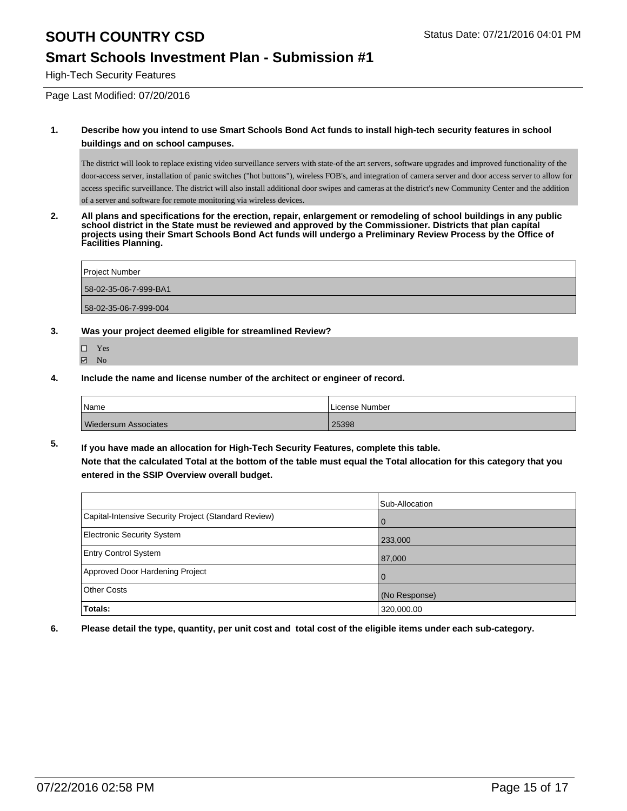#### **Smart Schools Investment Plan - Submission #1**

High-Tech Security Features

Page Last Modified: 07/20/2016

#### **1. Describe how you intend to use Smart Schools Bond Act funds to install high-tech security features in school buildings and on school campuses.**

The district will look to replace existing video surveillance servers with state-of the art servers, software upgrades and improved functionality of the door-access server, installation of panic switches ("hot buttons"), wireless FOB's, and integration of camera server and door access server to allow for access specific surveillance. The district will also install additional door swipes and cameras at the district's new Community Center and the addition of a server and software for remote monitoring via wireless devices.

**2. All plans and specifications for the erection, repair, enlargement or remodeling of school buildings in any public school district in the State must be reviewed and approved by the Commissioner. Districts that plan capital projects using their Smart Schools Bond Act funds will undergo a Preliminary Review Process by the Office of Facilities Planning.** 

| Project Number        |  |
|-----------------------|--|
| 58-02-35-06-7-999-BA1 |  |
| 58-02-35-06-7-999-004 |  |

- **3. Was your project deemed eligible for streamlined Review?**
	- Yes
	- **Ø** No
- **4. Include the name and license number of the architect or engineer of record.**

| <i>Name</i>                 | License Number |
|-----------------------------|----------------|
| <b>Wiedersum Associates</b> | 25398          |

**5. If you have made an allocation for High-Tech Security Features, complete this table. Note that the calculated Total at the bottom of the table must equal the Total allocation for this category that you entered in the SSIP Overview overall budget.**

|                                                      | Sub-Allocation |
|------------------------------------------------------|----------------|
| Capital-Intensive Security Project (Standard Review) | $\Omega$       |
| Electronic Security System                           | 233,000        |
| <b>Entry Control System</b>                          | 87,000         |
| Approved Door Hardening Project                      | $\Omega$       |
| Other Costs                                          | (No Response)  |
| <b>Totals:</b>                                       | 320,000.00     |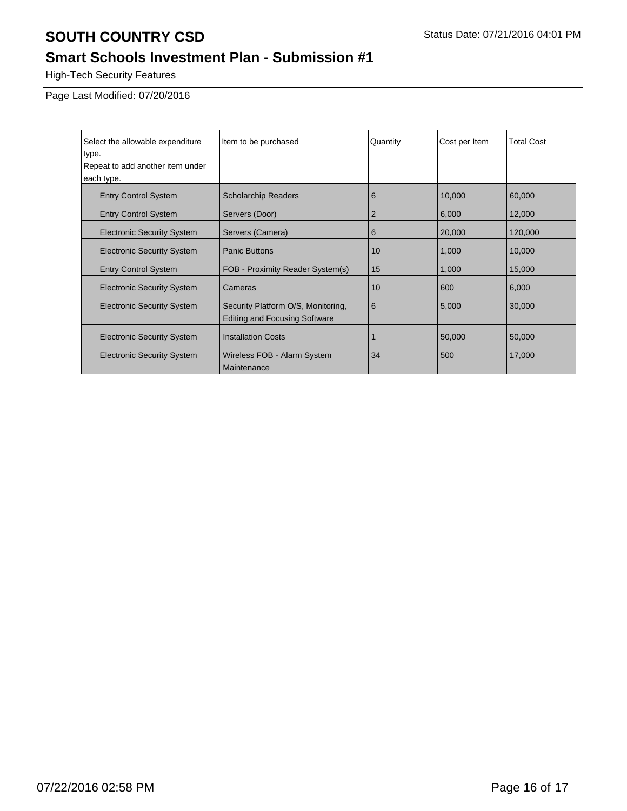# **Smart Schools Investment Plan - Submission #1**

High-Tech Security Features

Page Last Modified: 07/20/2016

| Select the allowable expenditure  | Item to be purchased                                                       | Quantity | Cost per Item | <b>Total Cost</b> |
|-----------------------------------|----------------------------------------------------------------------------|----------|---------------|-------------------|
| type.                             |                                                                            |          |               |                   |
| Repeat to add another item under  |                                                                            |          |               |                   |
| each type.                        |                                                                            |          |               |                   |
| <b>Entry Control System</b>       | <b>Scholarchip Readers</b>                                                 | 6        | 10,000        | 60,000            |
| <b>Entry Control System</b>       | Servers (Door)                                                             | 2        | 6,000         | 12,000            |
| <b>Electronic Security System</b> | Servers (Camera)                                                           | 6        | 20,000        | 120,000           |
| <b>Electronic Security System</b> | <b>Panic Buttons</b>                                                       | 10       | 1,000         | 10,000            |
| <b>Entry Control System</b>       | FOB - Proximity Reader System(s)                                           | 15       | 1,000         | 15,000            |
| <b>Electronic Security System</b> | Cameras                                                                    | 10       | 600           | 6,000             |
| <b>Electronic Security System</b> | Security Platform O/S, Monitoring,<br><b>Editing and Focusing Software</b> | 6        | 5,000         | 30,000            |
| <b>Electronic Security System</b> | <b>Installation Costs</b>                                                  |          | 50,000        | 50,000            |
| <b>Electronic Security System</b> | Wireless FOB - Alarm System<br>Maintenance                                 | 34       | 500           | 17,000            |